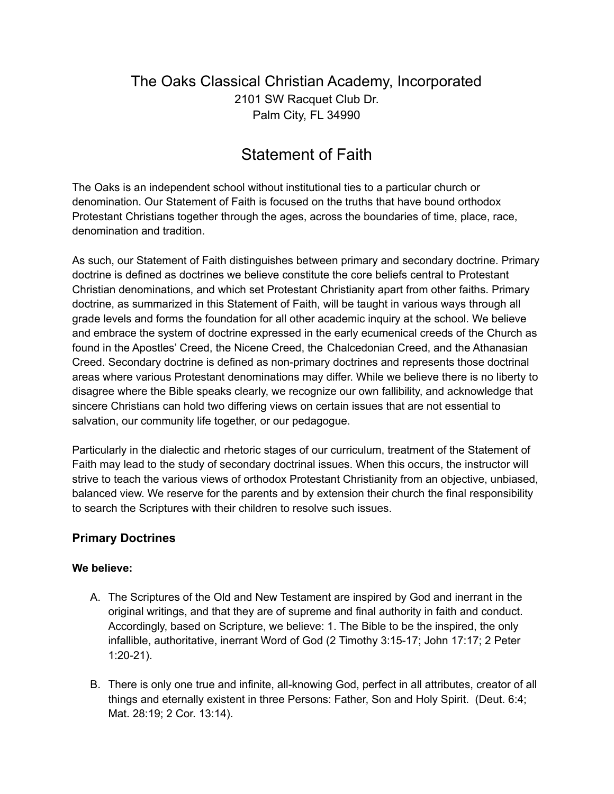## The Oaks Classical Christian Academy, Incorporated 2101 SW Racquet Club Dr. Palm City, FL 34990

# Statement of Faith

The Oaks is an independent school without institutional ties to a particular church or denomination. Our Statement of Faith is focused on the truths that have bound orthodox Protestant Christians together through the ages, across the boundaries of time, place, race, denomination and tradition.

As such, our Statement of Faith distinguishes between primary and secondary doctrine. Primary doctrine is defined as doctrines we believe constitute the core beliefs central to Protestant Christian denominations, and which set Protestant Christianity apart from other faiths. Primary doctrine, as summarized in this Statement of Faith, will be taught in various ways through all grade levels and forms the foundation for all other academic inquiry at the school. We believe and embrace the system of doctrine expressed in the early ecumenical creeds of the Church as found in the Apostles' Creed, the Nicene Creed, the Chalcedonian Creed, and the Athanasian Creed. Secondary doctrine is defined as non-primary doctrines and represents those doctrinal areas where various Protestant denominations may differ. While we believe there is no liberty to disagree where the Bible speaks clearly, we recognize our own fallibility, and acknowledge that sincere Christians can hold two differing views on certain issues that are not essential to salvation, our community life together, or our pedagogue.

Particularly in the dialectic and rhetoric stages of our curriculum, treatment of the Statement of Faith may lead to the study of secondary doctrinal issues. When this occurs, the instructor will strive to teach the various views of orthodox Protestant Christianity from an objective, unbiased, balanced view. We reserve for the parents and by extension their church the final responsibility to search the Scriptures with their children to resolve such issues.

## **Primary Doctrines**

#### **We believe:**

- A. The Scriptures of the Old and New Testament are inspired by God and inerrant in the original writings, and that they are of supreme and final authority in faith and conduct. Accordingly, based on Scripture, we believe: 1. The Bible to be the inspired, the only infallible, authoritative, inerrant Word of God (2 Timothy 3:15-17; John 17:17; 2 Peter 1:20-21).
- B. There is only one true and infinite, all-knowing God, perfect in all attributes, creator of all things and eternally existent in three Persons: Father, Son and Holy Spirit. (Deut. 6:4; Mat. 28:19; 2 Cor. 13:14).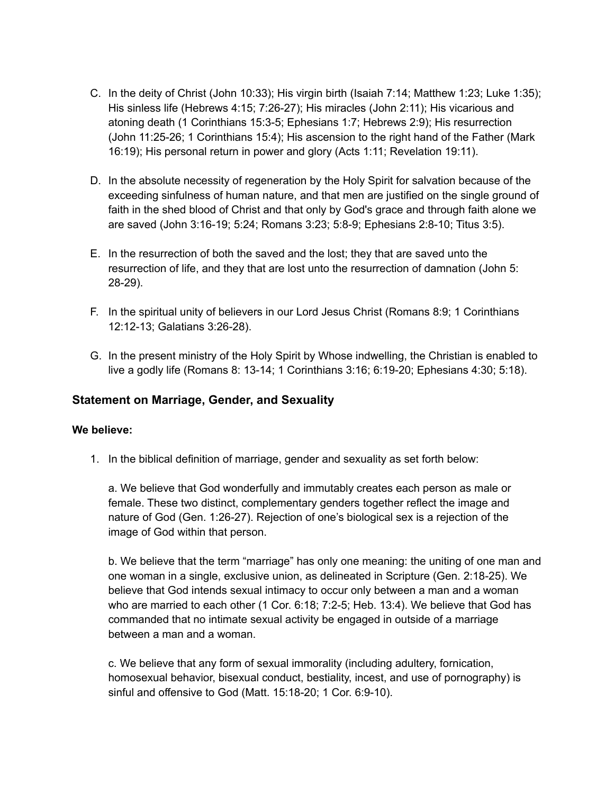- C. In the deity of Christ (John 10:33); His virgin birth (Isaiah 7:14; Matthew 1:23; Luke 1:35); His sinless life (Hebrews 4:15; 7:26-27); His miracles (John 2:11); His vicarious and atoning death (1 Corinthians 15:3-5; Ephesians 1:7; Hebrews 2:9); His resurrection (John 11:25-26; 1 Corinthians 15:4); His ascension to the right hand of the Father (Mark 16:19); His personal return in power and glory (Acts 1:11; Revelation 19:11).
- D. In the absolute necessity of regeneration by the Holy Spirit for salvation because of the exceeding sinfulness of human nature, and that men are justified on the single ground of faith in the shed blood of Christ and that only by God's grace and through faith alone we are saved (John 3:16-19; 5:24; Romans 3:23; 5:8-9; Ephesians 2:8-10; Titus 3:5).
- E. In the resurrection of both the saved and the lost; they that are saved unto the resurrection of life, and they that are lost unto the resurrection of damnation (John 5: 28-29).
- F. In the spiritual unity of believers in our Lord Jesus Christ (Romans 8:9; 1 Corinthians 12:12-13; Galatians 3:26-28).
- G. In the present ministry of the Holy Spirit by Whose indwelling, the Christian is enabled to live a godly life (Romans 8: 13-14; 1 Corinthians 3:16; 6:19-20; Ephesians 4:30; 5:18).

### **Statement on Marriage, Gender, and Sexuality**

#### **We believe:**

1. In the biblical definition of marriage, gender and sexuality as set forth below:

a. We believe that God wonderfully and immutably creates each person as male or female. These two distinct, complementary genders together reflect the image and nature of God (Gen. 1:26-27). Rejection of one's biological sex is a rejection of the image of God within that person.

b. We believe that the term "marriage" has only one meaning: the uniting of one man and one woman in a single, exclusive union, as delineated in Scripture (Gen. 2:18-25). We believe that God intends sexual intimacy to occur only between a man and a woman who are married to each other (1 Cor. 6:18; 7:2-5; Heb. 13:4). We believe that God has commanded that no intimate sexual activity be engaged in outside of a marriage between a man and a woman.

c. We believe that any form of sexual immorality (including adultery, fornication, homosexual behavior, bisexual conduct, bestiality, incest, and use of pornography) is sinful and offensive to God (Matt. 15:18-20; 1 Cor. 6:9-10).